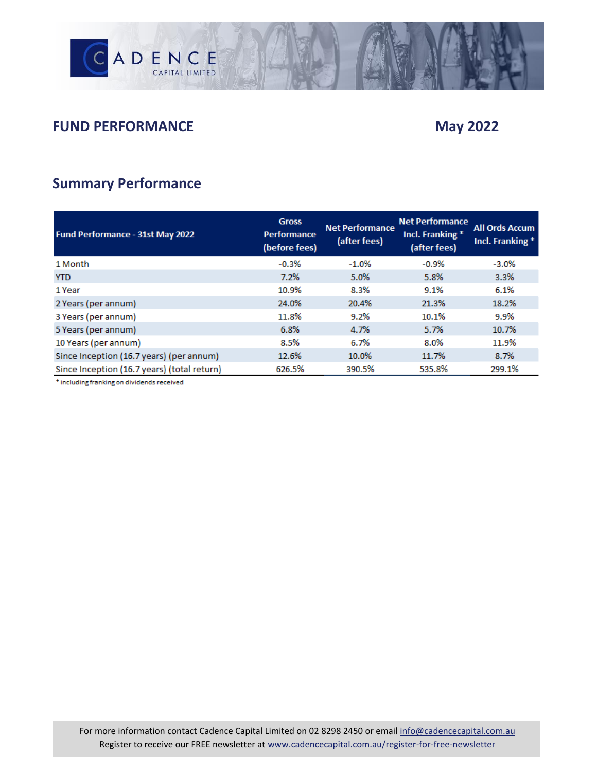

## **FUND PERFORMANCE** May 2022

## **Summary Performance**

| Fund Performance - 31st May 2022            | <b>Gross</b><br><b>Performance</b><br>(before fees) | <b>Net Performance</b><br>(after fees) | <b>Net Performance</b><br>Incl. Franking *<br>(after fees) | <b>All Ords Accum</b><br>Incl. Franking * |
|---------------------------------------------|-----------------------------------------------------|----------------------------------------|------------------------------------------------------------|-------------------------------------------|
| 1 Month                                     | $-0.3%$                                             | $-1.0%$                                | $-0.9%$                                                    | $-3.0%$                                   |
| <b>YTD</b>                                  | 7.2%                                                | 5.0%                                   | 5.8%                                                       | 3.3%                                      |
| 1 Year                                      | 10.9%                                               | 8.3%                                   | 9.1%                                                       | 6.1%                                      |
| 2 Years (per annum)                         | 24.0%                                               | 20.4%                                  | 21.3%                                                      | 18.2%                                     |
| 3 Years (per annum)                         | 11.8%                                               | 9.2%                                   | 10.1%                                                      | 9.9%                                      |
| 5 Years (per annum)                         | 6.8%                                                | 4.7%                                   | 5.7%                                                       | 10.7%                                     |
| 10 Years (per annum)                        | 8.5%                                                | 6.7%                                   | 8.0%                                                       | 11.9%                                     |
| Since Inception (16.7 years) (per annum)    | 12.6%                                               | 10.0%                                  | 11.7%                                                      | 8.7%                                      |
| Since Inception (16.7 years) (total return) | 626.5%                                              | 390.5%                                 | 535.8%                                                     | 299.1%                                    |

\* including franking on dividends received